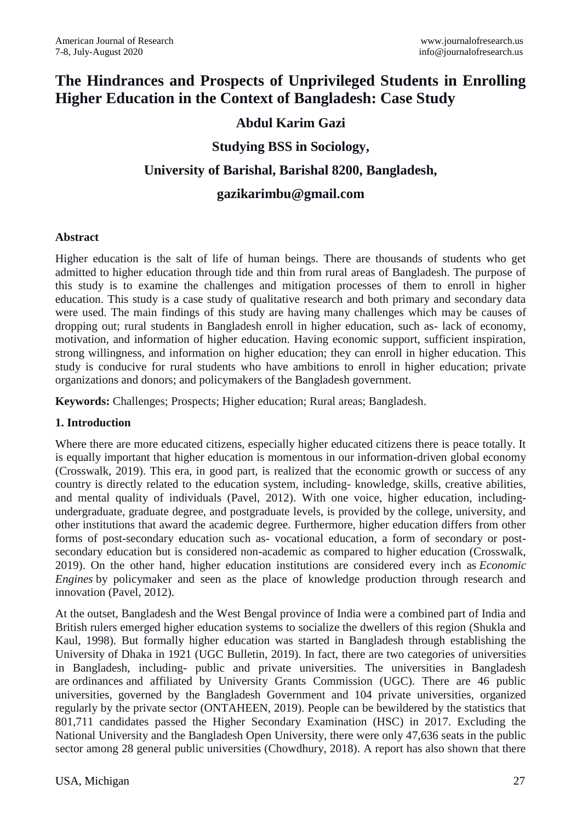# **The Hindrances and Prospects of Unprivileged Students in Enrolling Higher Education in the Context of Bangladesh: Case Study**

# **Abdul Karim Gazi**

# **Studying BSS in Sociology,**

# **University of Barishal, Barishal 8200, Bangladesh,**

# **[gazikarimbu@gmail.com](mailto:gazikarimbu@gmail.com)**

#### **Abstract**

Higher education is the salt of life of human beings. There are thousands of students who get admitted to higher education through tide and thin from rural areas of Bangladesh. The purpose of this study is to examine the challenges and mitigation processes of them to enroll in higher education. This study is a case study of qualitative research and both primary and secondary data were used. The main findings of this study are having many challenges which may be causes of dropping out; rural students in Bangladesh enroll in higher education, such as- lack of economy, motivation, and information of higher education. Having economic support, sufficient inspiration, strong willingness, and information on higher education; they can enroll in higher education. This study is conducive for rural students who have ambitions to enroll in higher education; private organizations and donors; and policymakers of the Bangladesh government.

**Keywords:** Challenges; Prospects; Higher education; Rural areas; Bangladesh.

#### **1. Introduction**

Where there are more educated citizens, especially higher educated citizens there is peace totally. It is equally important that higher education is momentous in our information-driven global economy (Crosswalk, 2019). This era, in good part, is realized that the economic growth or success of any country is directly related to the education system, including- knowledge, skills, creative abilities, and mental quality of individuals (Pavel, 2012). With one voice, higher education, includingundergraduate, graduate degree, and postgraduate levels, is provided by the college, university, and other institutions that award the academic degree. Furthermore, higher education differs from other forms of post-secondary education such as- vocational education, a form of secondary or postsecondary education but is considered non-academic as compared to higher education (Crosswalk, 2019). On the other hand, higher education institutions are considered every inch as *Economic Engines* by policymaker and seen as the place of knowledge production through research and innovation (Pavel, 2012).

At the outset, Bangladesh and the West Bengal province of India were a combined part of India and British rulers emerged higher education systems to socialize the dwellers of this region (Shukla and Kaul, 1998). But formally higher education was started in Bangladesh through establishing the University of Dhaka in 1921 (UGC Bulletin, 2019). In fact, there are two categories of universities in Bangladesh, including- public and private universities. The universities in Bangladesh are ordinances and affiliated by University Grants Commission (UGC). There are 46 public universities, governed by the Bangladesh Government and 104 private universities, organized regularly by the private sector (ONTAHEEN, 2019). People can be bewildered by the statistics that 801,711 candidates passed the Higher Secondary Examination (HSC) in 2017. Excluding the National University and the Bangladesh Open University, there were only 47,636 seats in the public sector among 28 general public universities (Chowdhury, 2018). A report has also shown that there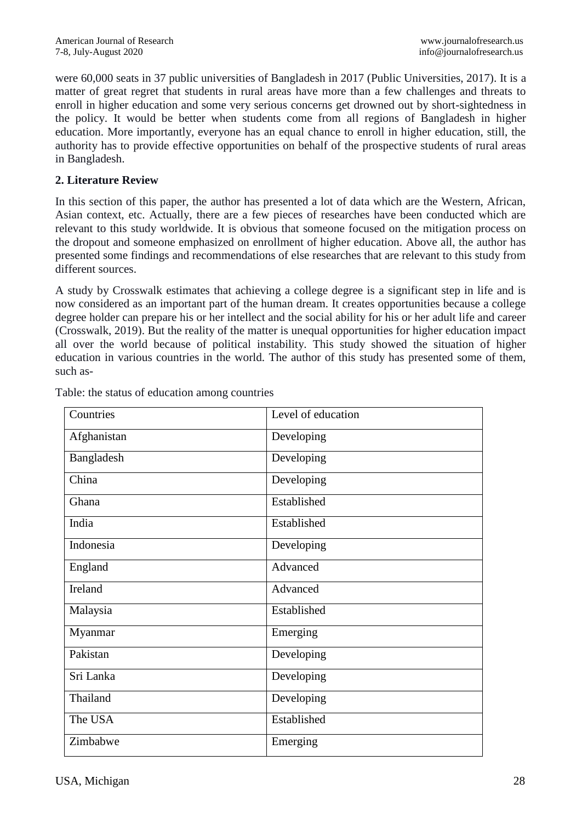were 60,000 seats in 37 public universities of Bangladesh in 2017 (Public Universities, 2017). It is a matter of great regret that students in rural areas have more than a few challenges and threats to enroll in higher education and some very serious concerns get drowned out by short-sightedness in the policy. It would be better when students come from all regions of Bangladesh in higher education. More importantly, everyone has an equal chance to enroll in higher education, still, the authority has to provide effective opportunities on behalf of the prospective students of rural areas in Bangladesh.

### **2. Literature Review**

In this section of this paper, the author has presented a lot of data which are the Western, African, Asian context, etc. Actually, there are a few pieces of researches have been conducted which are relevant to this study worldwide. It is obvious that someone focused on the mitigation process on the dropout and someone emphasized on enrollment of higher education. Above all, the author has presented some findings and recommendations of else researches that are relevant to this study from different sources.

A study by Crosswalk estimates that achieving a college degree is a significant step in life and is now considered as an important part of the human dream. It creates opportunities because a college degree holder can prepare his or her intellect and the social ability for his or her adult life and career (Crosswalk, 2019). But the reality of the matter is unequal opportunities for higher education impact all over the world because of political instability. This study showed the situation of higher education in various countries in the world. The author of this study has presented some of them, such as-

| Countries          | Level of education |
|--------------------|--------------------|
| Afghanistan        | Developing         |
| Bangladesh         | Developing         |
| $\overline{China}$ | Developing         |
| Ghana              | Established        |
| India              | Established        |
| Indonesia          | Developing         |
| England            | Advanced           |
| Ireland            | Advanced           |
| Malaysia           | Established        |
| Myanmar            | Emerging           |
| Pakistan           | Developing         |
| Sri Lanka          | Developing         |
| Thailand           | Developing         |
| The USA            | Established        |
| Zimbabwe           | Emerging           |

Table: the status of education among countries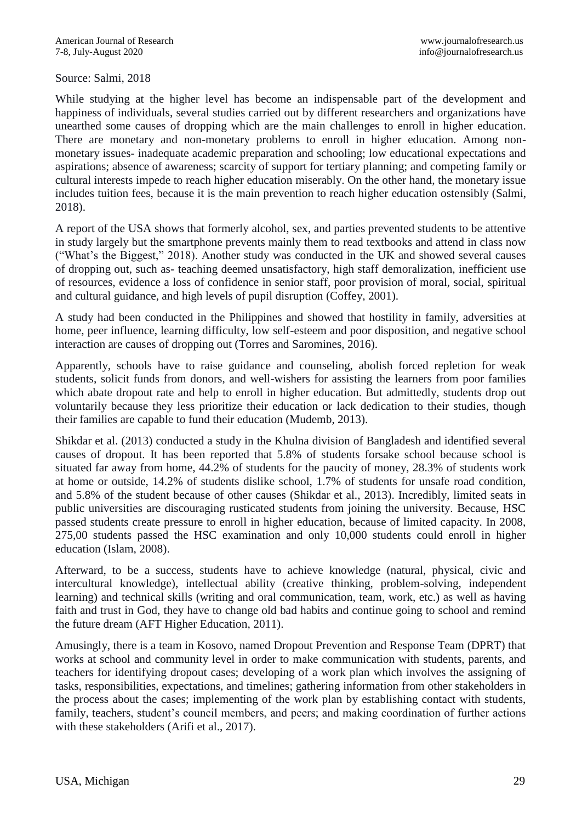#### Source: Salmi, 2018

While studying at the higher level has become an indispensable part of the development and happiness of individuals, several studies carried out by different researchers and organizations have unearthed some causes of dropping which are the main challenges to enroll in higher education. There are monetary and non-monetary problems to enroll in higher education. Among nonmonetary issues- inadequate academic preparation and schooling; low educational expectations and aspirations; absence of awareness; scarcity of support for tertiary planning; and competing family or cultural interests impede to reach higher education miserably. On the other hand, the monetary issue includes tuition fees, because it is the main prevention to reach higher education ostensibly (Salmi, 2018).

A report of the USA shows that formerly alcohol, sex, and parties prevented students to be attentive in study largely but the smartphone prevents mainly them to read textbooks and attend in class now ("What's the Biggest," 2018). Another study was conducted in the UK and showed several causes of dropping out, such as- teaching deemed unsatisfactory, high staff demoralization, inefficient use of resources, evidence a loss of confidence in senior staff, poor provision of moral, social, spiritual and cultural guidance, and high levels of pupil disruption (Coffey, 2001).

A study had been conducted in the Philippines and showed that hostility in family, adversities at home, peer influence, learning difficulty, low self-esteem and poor disposition, and negative school interaction are causes of dropping out (Torres and Saromines, 2016).

Apparently, schools have to raise guidance and counseling, abolish forced repletion for weak students, solicit funds from donors, and well-wishers for assisting the learners from poor families which abate dropout rate and help to enroll in higher education. But admittedly, students drop out voluntarily because they less prioritize their education or lack dedication to their studies, though their families are capable to fund their education (Mudemb, 2013).

Shikdar et al. (2013) conducted a study in the Khulna division of Bangladesh and identified several causes of dropout. It has been reported that 5.8% of students forsake school because school is situated far away from home, 44.2% of students for the paucity of money, 28.3% of students work at home or outside, 14.2% of students dislike school, 1.7% of students for unsafe road condition, and 5.8% of the student because of other causes (Shikdar et al., 2013). Incredibly, limited seats in public universities are discouraging rusticated students from joining the university. Because, HSC passed students create pressure to enroll in higher education, because of limited capacity. In 2008, 275,00 students passed the HSC examination and only 10,000 students could enroll in higher education (Islam, 2008).

Afterward, to be a success, students have to achieve knowledge (natural, physical, civic and intercultural knowledge), intellectual ability (creative thinking, problem-solving, independent learning) and technical skills (writing and oral communication, team, work, etc.) as well as having faith and trust in God, they have to change old bad habits and continue going to school and remind the future dream (AFT Higher Education, 2011).

Amusingly, there is a team in Kosovo, named Dropout Prevention and Response Team (DPRT) that works at school and community level in order to make communication with students, parents, and teachers for identifying dropout cases; developing of a work plan which involves the assigning of tasks, responsibilities, expectations, and timelines; gathering information from other stakeholders in the process about the cases; implementing of the work plan by establishing contact with students, family, teachers, student's council members, and peers; and making coordination of further actions with these stakeholders (Arifi et al., 2017).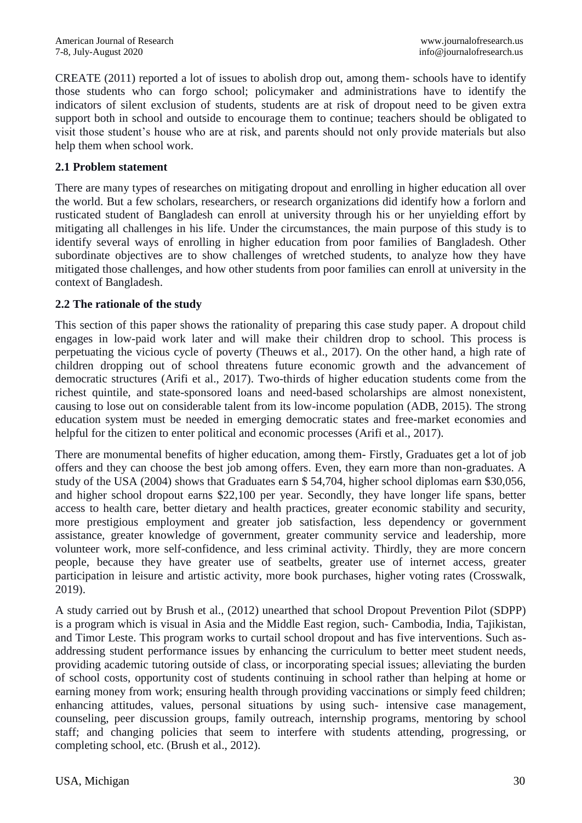CREATE (2011) reported a lot of issues to abolish drop out, among them- schools have to identify those students who can forgo school; policymaker and administrations have to identify the indicators of silent exclusion of students, students are at risk of dropout need to be given extra support both in school and outside to encourage them to continue; teachers should be obligated to visit those student's house who are at risk, and parents should not only provide materials but also help them when school work.

#### **2.1 Problem statement**

There are many types of researches on mitigating dropout and enrolling in higher education all over the world. But a few scholars, researchers, or research organizations did identify how a forlorn and rusticated student of Bangladesh can enroll at university through his or her unyielding effort by mitigating all challenges in his life. Under the circumstances, the main purpose of this study is to identify several ways of enrolling in higher education from poor families of Bangladesh. Other subordinate objectives are to show challenges of wretched students, to analyze how they have mitigated those challenges, and how other students from poor families can enroll at university in the context of Bangladesh.

#### **2.2 The rationale of the study**

This section of this paper shows the rationality of preparing this case study paper. A dropout child engages in low-paid work later and will make their children drop to school. This process is perpetuating the vicious cycle of poverty (Theuws et al., 2017). On the other hand, a high rate of children dropping out of school threatens future economic growth and the advancement of democratic structures (Arifi et al., 2017). Two-thirds of higher education students come from the richest quintile, and state-sponsored loans and need-based scholarships are almost nonexistent, causing to lose out on considerable talent from its low-income population (ADB, 2015). The strong education system must be needed in emerging democratic states and free-market economies and helpful for the citizen to enter political and economic processes (Arifi et al., 2017).

There are monumental benefits of higher education, among them- Firstly, Graduates get a lot of job offers and they can choose the best job among offers. Even, they earn more than non-graduates. A study of the USA (2004) shows that Graduates earn \$ 54,704, higher school diplomas earn \$30,056, and higher school dropout earns \$22,100 per year. Secondly, they have longer life spans, better access to health care, better dietary and health practices, greater economic stability and security, more prestigious employment and greater job satisfaction, less dependency or government assistance, greater knowledge of government, greater community service and leadership, more volunteer work, more self-confidence, and less criminal activity. Thirdly, they are more concern people, because they have greater use of seatbelts, greater use of internet access, greater participation in leisure and artistic activity, more book purchases, higher voting rates (Crosswalk, 2019).

A study carried out by Brush et al., (2012) unearthed that school Dropout Prevention Pilot (SDPP) is a program which is visual in Asia and the Middle East region, such- Cambodia, India, Tajikistan, and Timor Leste. This program works to curtail school dropout and has five interventions. Such asaddressing student performance issues by enhancing the curriculum to better meet student needs, providing academic tutoring outside of class, or incorporating special issues; alleviating the burden of school costs, opportunity cost of students continuing in school rather than helping at home or earning money from work; ensuring health through providing vaccinations or simply feed children; enhancing attitudes, values, personal situations by using such- intensive case management, counseling, peer discussion groups, family outreach, internship programs, mentoring by school staff; and changing policies that seem to interfere with students attending, progressing, or completing school, etc. (Brush et al., 2012).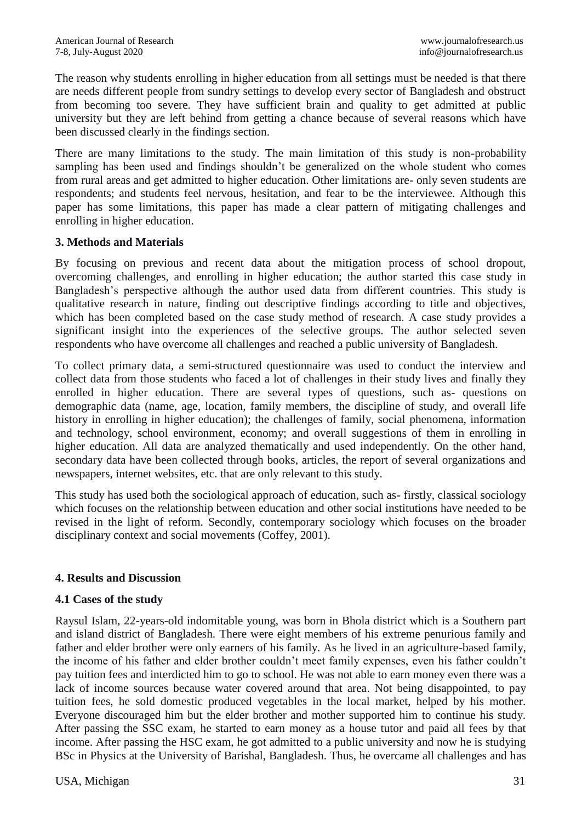The reason why students enrolling in higher education from all settings must be needed is that there are needs different people from sundry settings to develop every sector of Bangladesh and obstruct from becoming too severe. They have sufficient brain and quality to get admitted at public university but they are left behind from getting a chance because of several reasons which have been discussed clearly in the findings section.

There are many limitations to the study. The main limitation of this study is non-probability sampling has been used and findings shouldn't be generalized on the whole student who comes from rural areas and get admitted to higher education. Other limitations are- only seven students are respondents; and students feel nervous, hesitation, and fear to be the interviewee. Although this paper has some limitations, this paper has made a clear pattern of mitigating challenges and enrolling in higher education.

#### **3. Methods and Materials**

By focusing on previous and recent data about the mitigation process of school dropout, overcoming challenges, and enrolling in higher education; the author started this case study in Bangladesh's perspective although the author used data from different countries. This study is qualitative research in nature, finding out descriptive findings according to title and objectives, which has been completed based on the case study method of research. A case study provides a significant insight into the experiences of the selective groups. The author selected seven respondents who have overcome all challenges and reached a public university of Bangladesh.

To collect primary data, a semi-structured questionnaire was used to conduct the interview and collect data from those students who faced a lot of challenges in their study lives and finally they enrolled in higher education. There are several types of questions, such as- questions on demographic data (name, age, location, family members, the discipline of study, and overall life history in enrolling in higher education); the challenges of family, social phenomena, information and technology, school environment, economy; and overall suggestions of them in enrolling in higher education. All data are analyzed thematically and used independently. On the other hand, secondary data have been collected through books, articles, the report of several organizations and newspapers, internet websites, etc. that are only relevant to this study.

This study has used both the sociological approach of education, such as- firstly, classical sociology which focuses on the relationship between education and other social institutions have needed to be revised in the light of reform. Secondly, contemporary sociology which focuses on the broader disciplinary context and social movements (Coffey, 2001).

# **4. Results and Discussion**

#### **4.1 Cases of the study**

Raysul Islam, 22-years-old indomitable young, was born in Bhola district which is a Southern part and island district of Bangladesh. There were eight members of his extreme penurious family and father and elder brother were only earners of his family. As he lived in an agriculture-based family, the income of his father and elder brother couldn't meet family expenses, even his father couldn't pay tuition fees and interdicted him to go to school. He was not able to earn money even there was a lack of income sources because water covered around that area. Not being disappointed, to pay tuition fees, he sold domestic produced vegetables in the local market, helped by his mother. Everyone discouraged him but the elder brother and mother supported him to continue his study. After passing the SSC exam, he started to earn money as a house tutor and paid all fees by that income. After passing the HSC exam, he got admitted to a public university and now he is studying BSc in Physics at the University of Barishal, Bangladesh. Thus, he overcame all challenges and has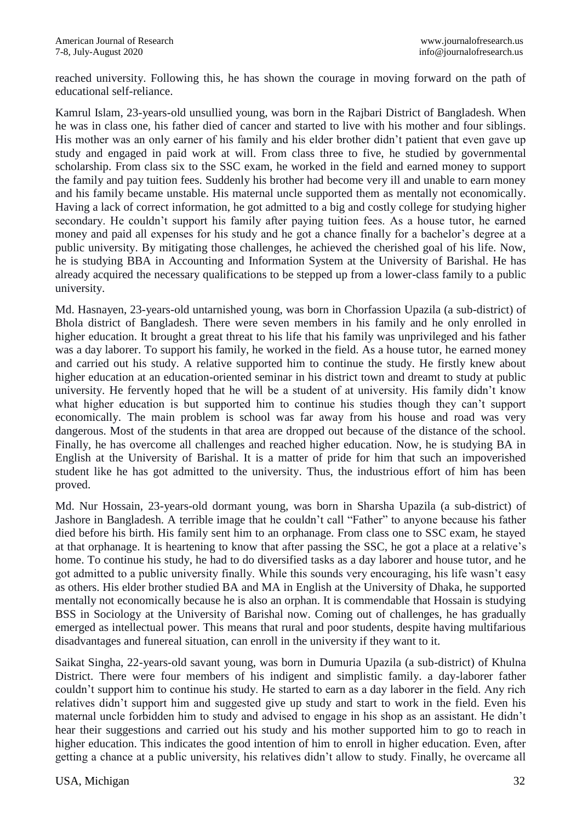reached university. Following this, he has shown the courage in moving forward on the path of educational self-reliance.

Kamrul Islam, 23-years-old unsullied young, was born in the Rajbari District of Bangladesh. When he was in class one, his father died of cancer and started to live with his mother and four siblings. His mother was an only earner of his family and his elder brother didn't patient that even gave up study and engaged in paid work at will. From class three to five, he studied by governmental scholarship. From class six to the SSC exam, he worked in the field and earned money to support the family and pay tuition fees. Suddenly his brother had become very ill and unable to earn money and his family became unstable. His maternal uncle supported them as mentally not economically. Having a lack of correct information, he got admitted to a big and costly college for studying higher secondary. He couldn't support his family after paying tuition fees. As a house tutor, he earned money and paid all expenses for his study and he got a chance finally for a bachelor's degree at a public university. By mitigating those challenges, he achieved the cherished goal of his life. Now, he is studying BBA in Accounting and Information System at the University of Barishal. He has already acquired the necessary qualifications to be stepped up from a lower-class family to a public university.

Md. Hasnayen, 23-years-old untarnished young, was born in Chorfassion Upazila (a sub-district) of Bhola district of Bangladesh. There were seven members in his family and he only enrolled in higher education. It brought a great threat to his life that his family was unprivileged and his father was a day laborer. To support his family, he worked in the field. As a house tutor, he earned money and carried out his study. A relative supported him to continue the study. He firstly knew about higher education at an education-oriented seminar in his district town and dreamt to study at public university. He fervently hoped that he will be a student of at university. His family didn't know what higher education is but supported him to continue his studies though they can't support economically. The main problem is school was far away from his house and road was very dangerous. Most of the students in that area are dropped out because of the distance of the school. Finally, he has overcome all challenges and reached higher education. Now, he is studying BA in English at the University of Barishal. It is a matter of pride for him that such an impoverished student like he has got admitted to the university. Thus, the industrious effort of him has been proved.

Md. Nur Hossain, 23-years-old dormant young, was born in Sharsha Upazila (a sub-district) of Jashore in Bangladesh. A terrible image that he couldn't call "Father" to anyone because his father died before his birth. His family sent him to an orphanage. From class one to SSC exam, he stayed at that orphanage. It is heartening to know that after passing the SSC, he got a place at a relative's home. To continue his study, he had to do diversified tasks as a day laborer and house tutor, and he got admitted to a public university finally. While this sounds very encouraging, his life wasn't easy as others. His elder brother studied BA and MA in English at the University of Dhaka, he supported mentally not economically because he is also an orphan. It is commendable that Hossain is studying BSS in Sociology at the University of Barishal now. Coming out of challenges, he has gradually emerged as intellectual power. This means that rural and poor students, despite having multifarious disadvantages and funereal situation, can enroll in the university if they want to it.

Saikat Singha, 22-years-old savant young, was born in Dumuria Upazila (a sub-district) of Khulna District. There were four members of his indigent and simplistic family. a day-laborer father couldn't support him to continue his study. He started to earn as a day laborer in the field. Any rich relatives didn't support him and suggested give up study and start to work in the field. Even his maternal uncle forbidden him to study and advised to engage in his shop as an assistant. He didn't hear their suggestions and carried out his study and his mother supported him to go to reach in higher education. This indicates the good intention of him to enroll in higher education. Even, after getting a chance at a public university, his relatives didn't allow to study. Finally, he overcame all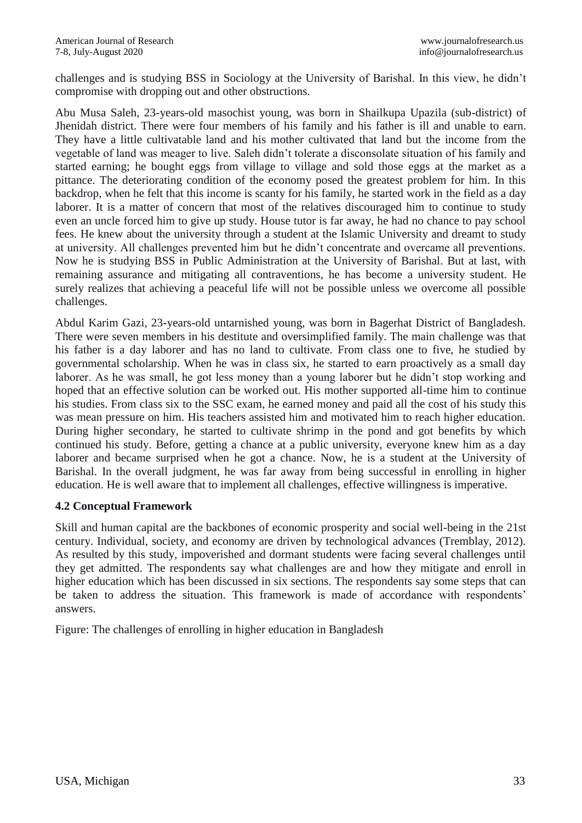challenges and is studying BSS in Sociology at the University of Barishal. In this view, he didn't compromise with dropping out and other obstructions.

Abu Musa Saleh, 23-years-old masochist young, was born in Shailkupa Upazila (sub-district) of Jhenidah district. There were four members of his family and his father is ill and unable to earn. They have a little cultivatable land and his mother cultivated that land but the income from the vegetable of land was meager to live. Saleh didn't tolerate a disconsolate situation of his family and started earning; he bought eggs from village to village and sold those eggs at the market as a pittance. The deteriorating condition of the economy posed the greatest problem for him. In this backdrop, when he felt that this income is scanty for his family, he started work in the field as a day laborer. It is a matter of concern that most of the relatives discouraged him to continue to study even an uncle forced him to give up study. House tutor is far away, he had no chance to pay school fees. He knew about the university through a student at the Islamic University and dreamt to study at university. All challenges prevented him but he didn't concentrate and overcame all preventions. Now he is studying BSS in Public Administration at the University of Barishal. But at last, with remaining assurance and mitigating all contraventions, he has become a university student. He surely realizes that achieving a peaceful life will not be possible unless we overcome all possible challenges.

Abdul Karim Gazi, 23-years-old untarnished young, was born in Bagerhat District of Bangladesh. There were seven members in his destitute and oversimplified family. The main challenge was that his father is a day laborer and has no land to cultivate. From class one to five, he studied by governmental scholarship. When he was in class six, he started to earn proactively as a small day laborer. As he was small, he got less money than a young laborer but he didn't stop working and hoped that an effective solution can be worked out. His mother supported all-time him to continue his studies. From class six to the SSC exam, he earned money and paid all the cost of his study this was mean pressure on him. His teachers assisted him and motivated him to reach higher education. During higher secondary, he started to cultivate shrimp in the pond and got benefits by which continued his study. Before, getting a chance at a public university, everyone knew him as a day laborer and became surprised when he got a chance. Now, he is a student at the University of Barishal. In the overall judgment, he was far away from being successful in enrolling in higher education. He is well aware that to implement all challenges, effective willingness is imperative.

#### **4.2 Conceptual Framework**

Skill and human capital are the backbones of economic prosperity and social well-being in the 21st century. Individual, society, and economy are driven by technological advances (Tremblay, 2012). As resulted by this study, impoverished and dormant students were facing several challenges until they get admitted. The respondents say what challenges are and how they mitigate and enroll in higher education which has been discussed in six sections. The respondents say some steps that can be taken to address the situation. This framework is made of accordance with respondents' answers.

Figure: The challenges of enrolling in higher education in Bangladesh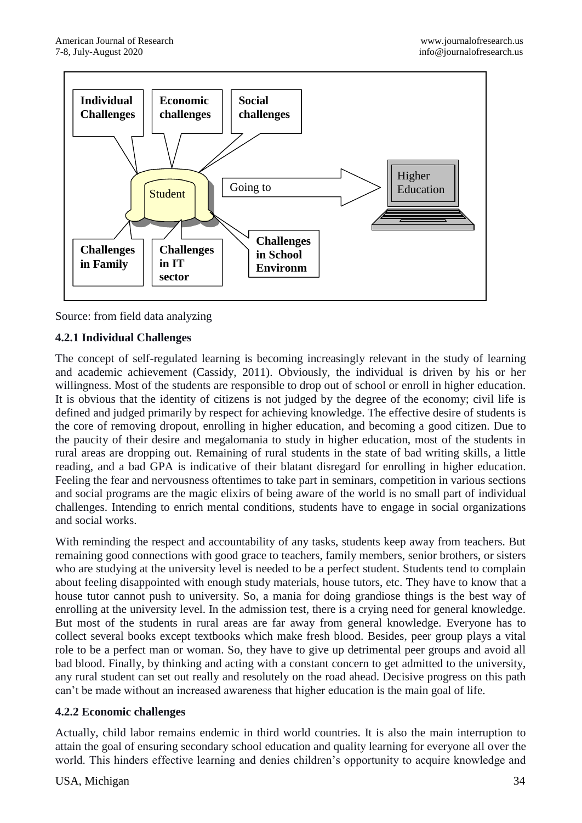



# **4.2.1 Individual Challenges**

The concept of self-regulated learning is becoming increasingly relevant in the study of learning and academic achievement (Cassidy, 2011). Obviously, the individual is driven by his or her willingness. Most of the students are responsible to drop out of school or enroll in higher education. It is obvious that the identity of citizens is not judged by the degree of the economy; civil life is defined and judged primarily by respect for achieving knowledge. The effective desire of students is the core of removing dropout, enrolling in higher education, and becoming a good citizen. Due to the paucity of their desire and megalomania to study in higher education, most of the students in rural areas are dropping out. Remaining of rural students in the state of bad writing skills, a little reading, and a bad GPA is indicative of their blatant disregard for enrolling in higher education. Feeling the fear and nervousness oftentimes to take part in seminars, competition in various sections and social programs are the magic elixirs of being aware of the world is no small part of individual challenges. Intending to enrich mental conditions, students have to engage in social organizations and social works.

With reminding the respect and accountability of any tasks, students keep away from teachers. But remaining good connections with good grace to teachers, family members, senior brothers, or sisters who are studying at the university level is needed to be a perfect student. Students tend to complain about feeling disappointed with enough study materials, house tutors, etc. They have to know that a house tutor cannot push to university. So, a mania for doing grandiose things is the best way of enrolling at the university level. In the admission test, there is a crying need for general knowledge. But most of the students in rural areas are far away from general knowledge. Everyone has to collect several books except textbooks which make fresh blood. Besides, peer group plays a vital role to be a perfect man or woman. So, they have to give up detrimental peer groups and avoid all bad blood. Finally, by thinking and acting with a constant concern to get admitted to the university, any rural student can set out really and resolutely on the road ahead. Decisive progress on this path can't be made without an increased awareness that higher education is the main goal of life.

#### **4.2.2 Economic challenges**

Actually, child labor remains endemic in third world countries. It is also the main interruption to attain the goal of ensuring secondary school education and quality learning for everyone all over the world. This hinders effective learning and denies children's opportunity to acquire knowledge and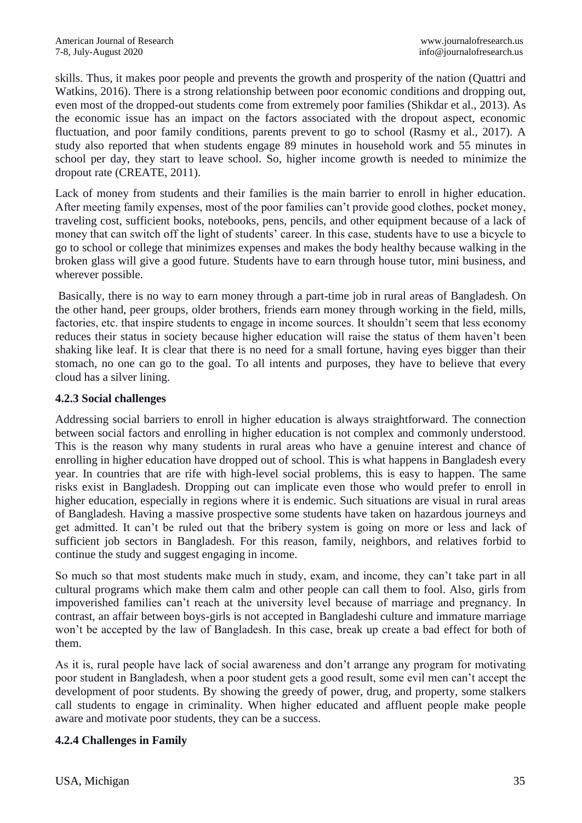skills. Thus, it makes poor people and prevents the growth and prosperity of the nation (Quattri and Watkins, 2016). There is a strong relationship between poor economic conditions and dropping out, even most of the dropped-out students come from extremely poor families (Shikdar et al., 2013). As the economic issue has an impact on the factors associated with the dropout aspect, economic fluctuation, and poor family conditions, parents prevent to go to school (Rasmy et al., 2017). A study also reported that when students engage 89 minutes in household work and 55 minutes in school per day, they start to leave school. So, higher income growth is needed to minimize the dropout rate (CREATE, 2011).

Lack of money from students and their families is the main barrier to enroll in higher education. After meeting family expenses, most of the poor families can't provide good clothes, pocket money, traveling cost, sufficient books, notebooks, pens, pencils, and other equipment because of a lack of money that can switch off the light of students' career. In this case, students have to use a bicycle to go to school or college that minimizes expenses and makes the body healthy because walking in the broken glass will give a good future. Students have to earn through house tutor, mini business, and wherever possible.

Basically, there is no way to earn money through a part-time job in rural areas of Bangladesh. On the other hand, peer groups, older brothers, friends earn money through working in the field, mills, factories, etc. that inspire students to engage in income sources. It shouldn't seem that less economy reduces their status in society because higher education will raise the status of them haven't been shaking like leaf. It is clear that there is no need for a small fortune, having eyes bigger than their stomach, no one can go to the goal. To all intents and purposes, they have to believe that every cloud has a silver lining.

#### **4.2.3 Social challenges**

Addressing social barriers to enroll in higher education is always straightforward. The connection between social factors and enrolling in higher education is not complex and commonly understood. This is the reason why many students in rural areas who have a genuine interest and chance of enrolling in higher education have dropped out of school. This is what happens in Bangladesh every year. In countries that are rife with high-level social problems, this is easy to happen. The same risks exist in Bangladesh. Dropping out can implicate even those who would prefer to enroll in higher education, especially in regions where it is endemic. Such situations are visual in rural areas of Bangladesh. Having a massive prospective some students have taken on hazardous journeys and get admitted. It can't be ruled out that the bribery system is going on more or less and lack of sufficient job sectors in Bangladesh. For this reason, family, neighbors, and relatives forbid to continue the study and suggest engaging in income.

So much so that most students make much in study, exam, and income, they can't take part in all cultural programs which make them calm and other people can call them to fool. Also, girls from impoverished families can't reach at the university level because of marriage and pregnancy. In contrast, an affair between boys-girls is not accepted in Bangladeshi culture and immature marriage won't be accepted by the law of Bangladesh. In this case, break up create a bad effect for both of them.

As it is, rural people have lack of social awareness and don't arrange any program for motivating poor student in Bangladesh, when a poor student gets a good result, some evil men can't accept the development of poor students. By showing the greedy of power, drug, and property, some stalkers call students to engage in criminality. When higher educated and affluent people make people aware and motivate poor students, they can be a success.

#### **4.2.4 Challenges in Family**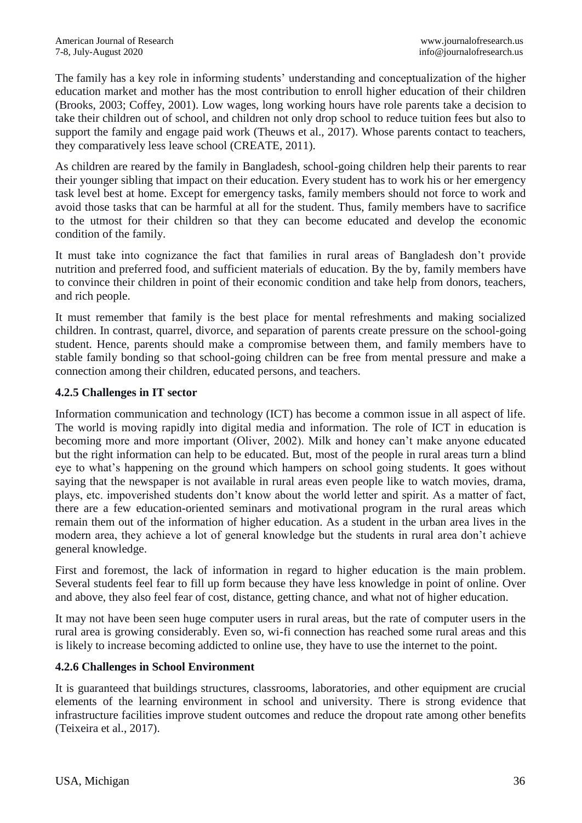The family has a key role in informing students' understanding and conceptualization of the higher education market and mother has the most contribution to enroll higher education of their children (Brooks, 2003; Coffey, 2001). Low wages, long working hours have role parents take a decision to take their children out of school, and children not only drop school to reduce tuition fees but also to support the family and engage paid work (Theuws et al., 2017). Whose parents contact to teachers, they comparatively less leave school (CREATE, 2011).

As children are reared by the family in Bangladesh, school-going children help their parents to rear their younger sibling that impact on their education. Every student has to work his or her emergency task level best at home. Except for emergency tasks, family members should not force to work and avoid those tasks that can be harmful at all for the student. Thus, family members have to sacrifice to the utmost for their children so that they can become educated and develop the economic condition of the family.

It must take into cognizance the fact that families in rural areas of Bangladesh don't provide nutrition and preferred food, and sufficient materials of education. By the by, family members have to convince their children in point of their economic condition and take help from donors, teachers, and rich people.

It must remember that family is the best place for mental refreshments and making socialized children. In contrast, quarrel, divorce, and separation of parents create pressure on the school-going student. Hence, parents should make a compromise between them, and family members have to stable family bonding so that school-going children can be free from mental pressure and make a connection among their children, educated persons, and teachers.

#### **4.2.5 Challenges in IT sector**

Information communication and technology (ICT) has become a common issue in all aspect of life. The world is moving rapidly into digital media and information. The role of ICT in education is becoming more and more important (Oliver, 2002). Milk and honey can't make anyone educated but the right information can help to be educated. But, most of the people in rural areas turn a blind eye to what's happening on the ground which hampers on school going students. It goes without saying that the newspaper is not available in rural areas even people like to watch movies, drama, plays, etc. impoverished students don't know about the world letter and spirit. As a matter of fact, there are a few education-oriented seminars and motivational program in the rural areas which remain them out of the information of higher education. As a student in the urban area lives in the modern area, they achieve a lot of general knowledge but the students in rural area don't achieve general knowledge.

First and foremost, the lack of information in regard to higher education is the main problem. Several students feel fear to fill up form because they have less knowledge in point of online. Over and above, they also feel fear of cost, distance, getting chance, and what not of higher education.

It may not have been seen huge computer users in rural areas, but the rate of computer users in the rural area is growing considerably. Even so, wi-fi connection has reached some rural areas and this is likely to increase becoming addicted to online use, they have to use the internet to the point.

# **4.2.6 Challenges in School Environment**

It is guaranteed that buildings structures, classrooms, laboratories, and other equipment are crucial elements of the learning environment in school and university. There is strong evidence that infrastructure facilities improve student outcomes and reduce the dropout rate among other benefits (Teixeira et al., 2017).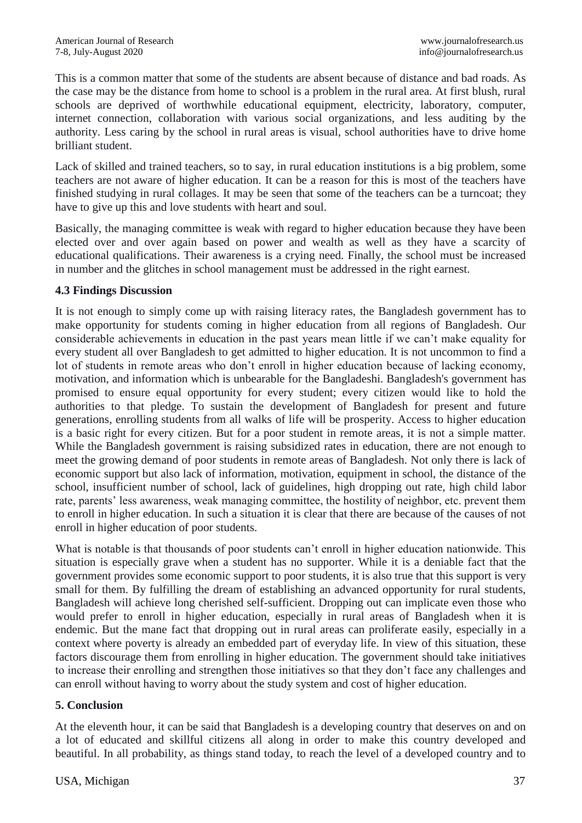This is a common matter that some of the students are absent because of distance and bad roads. As the case may be the distance from home to school is a problem in the rural area. At first blush, rural schools are deprived of worthwhile educational equipment, electricity, laboratory, computer, internet connection, collaboration with various social organizations, and less auditing by the authority. Less caring by the school in rural areas is visual, school authorities have to drive home brilliant student.

Lack of skilled and trained teachers, so to say, in rural education institutions is a big problem, some teachers are not aware of higher education. It can be a reason for this is most of the teachers have finished studying in rural collages. It may be seen that some of the teachers can be a turncoat; they have to give up this and love students with heart and soul.

Basically, the managing committee is weak with regard to higher education because they have been elected over and over again based on power and wealth as well as they have a scarcity of educational qualifications. Their awareness is a crying need. Finally, the school must be increased in number and the glitches in school management must be addressed in the right earnest.

#### **4.3 Findings Discussion**

It is not enough to simply come up with raising literacy rates, the Bangladesh government has to make opportunity for students coming in higher education from all regions of Bangladesh. Our considerable achievements in education in the past years mean little if we can't make equality for every student all over Bangladesh to get admitted to higher education. It is not uncommon to find a lot of students in remote areas who don't enroll in higher education because of lacking economy, motivation, and information which is unbearable for the Bangladeshi. Bangladesh's government has promised to ensure equal opportunity for every student; every citizen would like to hold the authorities to that pledge. To sustain the development of Bangladesh for present and future generations, enrolling students from all walks of life will be prosperity. Access to higher education is a basic right for every citizen. But for a poor student in remote areas, it is not a simple matter. While the Bangladesh government is raising subsidized rates in education, there are not enough to meet the growing demand of poor students in remote areas of Bangladesh. Not only there is lack of economic support but also lack of information, motivation, equipment in school, the distance of the school, insufficient number of school, lack of guidelines, high dropping out rate, high child labor rate, parents' less awareness, weak managing committee, the hostility of neighbor, etc. prevent them to enroll in higher education. In such a situation it is clear that there are because of the causes of not enroll in higher education of poor students.

What is notable is that thousands of poor students can't enroll in higher education nationwide. This situation is especially grave when a student has no supporter. While it is a deniable fact that the government provides some economic support to poor students, it is also true that this support is very small for them. By fulfilling the dream of establishing an advanced opportunity for rural students, Bangladesh will achieve long cherished self-sufficient. Dropping out can implicate even those who would prefer to enroll in higher education, especially in rural areas of Bangladesh when it is endemic. But the mane fact that dropping out in rural areas can proliferate easily, especially in a context where poverty is already an embedded part of everyday life. In view of this situation, these factors discourage them from enrolling in higher education. The government should take initiatives to increase their enrolling and strengthen those initiatives so that they don't face any challenges and can enroll without having to worry about the study system and cost of higher education.

# **5. Conclusion**

At the eleventh hour, it can be said that Bangladesh is a developing country that deserves on and on a lot of educated and skillful citizens all along in order to make this country developed and beautiful. In all probability, as things stand today, to reach the level of a developed country and to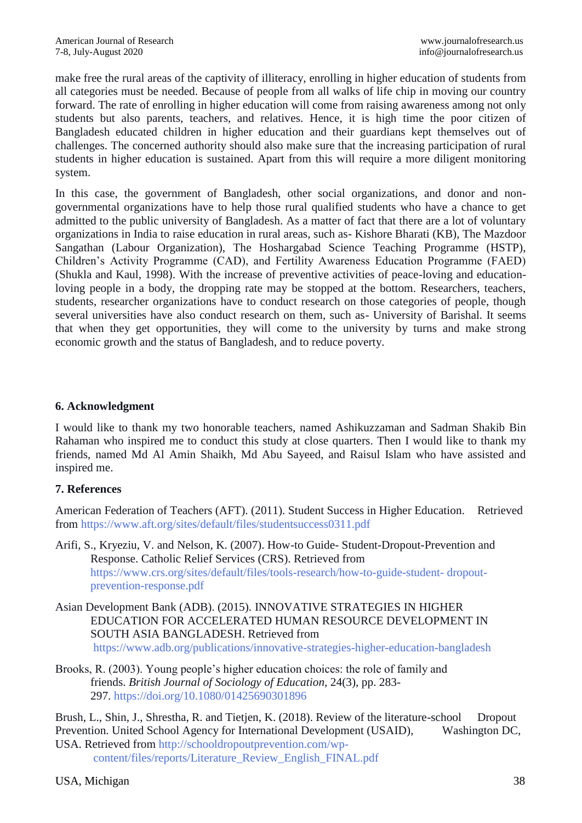make free the rural areas of the captivity of illiteracy, enrolling in higher education of students from all categories must be needed. Because of people from all walks of life chip in moving our country forward. The rate of enrolling in higher education will come from raising awareness among not only students but also parents, teachers, and relatives. Hence, it is high time the poor citizen of Bangladesh educated children in higher education and their guardians kept themselves out of challenges. The concerned authority should also make sure that the increasing participation of rural students in higher education is sustained. Apart from this will require a more diligent monitoring system.

In this case, the government of Bangladesh, other social organizations, and donor and nongovernmental organizations have to help those rural qualified students who have a chance to get admitted to the public university of Bangladesh. As a matter of fact that there are a lot of voluntary organizations in India to raise education in rural areas, such as- Kishore Bharati (KB), The Mazdoor Sangathan (Labour Organization), The Hoshargabad Science Teaching Programme (HSTP), Children's Activity Programme (CAD), and Fertility Awareness Education Programme (FAED) (Shukla and Kaul, 1998). With the increase of preventive activities of peace-loving and educationloving people in a body, the dropping rate may be stopped at the bottom. Researchers, teachers, students, researcher organizations have to conduct research on those categories of people, though several universities have also conduct research on them, such as- University of Barishal. It seems that when they get opportunities, they will come to the university by turns and make strong economic growth and the status of Bangladesh, and to reduce poverty.

#### **6. Acknowledgment**

I would like to thank my two honorable teachers, named Ashikuzzaman and Sadman Shakib Bin Rahaman who inspired me to conduct this study at close quarters. Then I would like to thank my friends, named Md Al Amin Shaikh, Md Abu Sayeed, and Raisul Islam who have assisted and inspired me.

#### **7. References**

American Federation of Teachers (AFT). (2011). Student Success in Higher Education. Retrieved from <https://www.aft.org/sites/default/files/studentsuccess0311.pdf>

Arifi, S., Kryeziu, V. and Nelson, K. (2007). How-to Guide- Student-Dropout-Prevention and Response. Catholic Relief Services (CRS). Retrieved from [https://www.crs.org/sites/default/files/tools-research/how-to-guide-student-](https://www.crs.org/sites/default/files/tools-research/how-to-guide-student-%09dropout-prevention-response.pdf) [dropout](https://www.crs.org/sites/default/files/tools-research/how-to-guide-student-%09dropout-prevention-response.pdf)[prevention-response.pdf](https://www.crs.org/sites/default/files/tools-research/how-to-guide-student-%09dropout-prevention-response.pdf)

Asian Development Bank (ADB). (2015). INNOVATIVE STRATEGIES IN HIGHER EDUCATION FOR ACCELERATED HUMAN RESOURCE DEVELOPMENT IN SOUTH ASIA BANGLADESH. Retrieved from [https://www.adb.org/publications/innovative-strategies-higher-education-bangladesh](https://www.adb.org/publications/innovative-strategies-higher-education-%09bangladesh)

Brooks, R. (2003). Young people's higher education choices: the role of family and friends. *British Journal of Sociology of Education,* 24(3), pp. 283- 297. <https://doi.org/10.1080/01425690301896>

Brush, L., Shin, J., Shrestha, R. and Tietjen, K. (2018). Review of the literature-school Dropout Prevention. United School Agency for International Development (USAID), Washington DC, USA. Retrieved from [http://schooldropoutprevention.com/wp-](http://schooldropoutprevention.com/wp-%09content/files/reports/Literature_Review_English_FINAL.pdf)

[content/files/reports/Literature\\_Review\\_English\\_FINAL.pdf](http://schooldropoutprevention.com/wp-%09content/files/reports/Literature_Review_English_FINAL.pdf)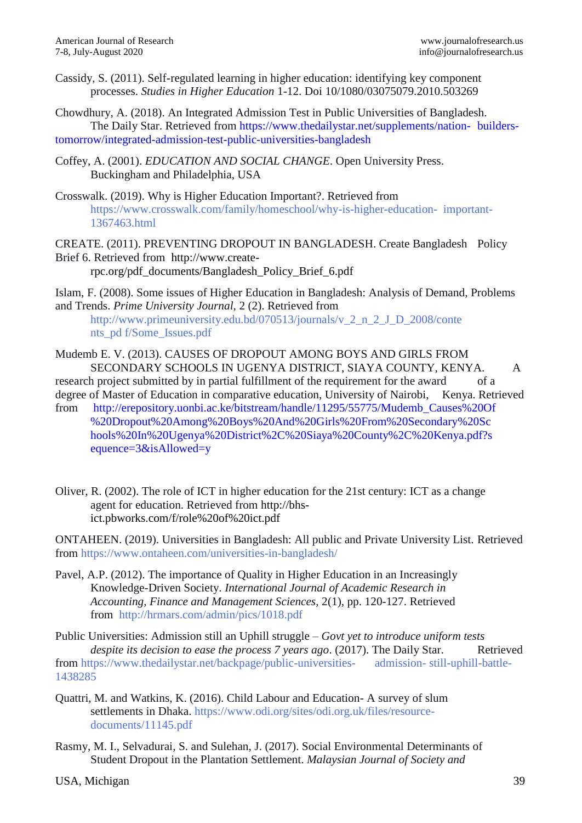Cassidy, S. (2011). Self-regulated learning in higher education: identifying key component processes. *Studies in Higher Education* 1-12. Doi 10/1080/03075079.2010.503269

Chowdhury, A. (2018). An Integrated Admission Test in Public Universities of Bangladesh. The Daily Star. Retrieved from [https://www.thedailystar.net/supplements/nation-](https://www.thedailystar.net/supplements/nation-builders-tomorrow/integrated-admission-test-public-universities-bangladesh) builders[tomorrow/integrated-admission-test-public-universities-bangladesh](https://www.thedailystar.net/supplements/nation-builders-tomorrow/integrated-admission-test-public-universities-bangladesh)

- Coffey, A. (2001). *EDUCATION AND SOCIAL CHANGE*. Open University Press. Buckingham and Philadelphia, USA
- Crosswalk. (2019). Why is Higher Education Important?. Retrieved from [https://www.crosswalk.com/family/homeschool/why-is-higher-education- important-](https://www.crosswalk.com/family/homeschool/why-is-higher-education-%09important-1367463.html)[1367463.html](https://www.crosswalk.com/family/homeschool/why-is-higher-education-%09important-1367463.html)

CREATE. (2011). PREVENTING DROPOUT IN BANGLADESH. Create Bangladesh Policy Brief 6. Retrieved from http://www.createrpc.org/pdf\_documents/Bangladesh\_Policy\_Brief\_6.pdf

Islam, F. (2008). Some issues of Higher Education in Bangladesh: Analysis of Demand, Problems and Trends. *Prime University Journal,* 2 (2). Retrieved from

[http://www.primeuniversity.edu.bd/070513/journals/v\\_2\\_n\\_2\\_J\\_D\\_2008/conte](http://www.primeuniversity.edu.bd/070513/journals/v_2_n_2_J_D_2008/conte%09nts_pd%09f/Some_Issues.pdf) [nts\\_pd](http://www.primeuniversity.edu.bd/070513/journals/v_2_n_2_J_D_2008/conte%09nts_pd%09f/Some_Issues.pdf) [f/Some\\_Issues.pdf](http://www.primeuniversity.edu.bd/070513/journals/v_2_n_2_J_D_2008/conte%09nts_pd%09f/Some_Issues.pdf)

Mudemb E. V. (2013). CAUSES OF DROPOUT AMONG BOYS AND GIRLS FROM SECONDARY SCHOOLS IN UGENYA DISTRICT, SIAYA COUNTY, KENYA. A research project submitted by in partial fulfillment of the requirement for the award of a

degree of Master of Education in comparative education, University of Nairobi, Kenya. Retrieved

- from [http://erepository.uonbi.ac.ke/bitstream/handle/11295/55775/Mudemb\\_Causes%20Of](http://erepository.uonbi.ac.ke/bitstream/handle/11295/55775/Mudemb_Causes%20Of%20Dropout%20Among%20Boys%20And%20Girls%20From%20Secondary%20Schools%20In%20Ugenya%20District%2C%20Siaya%20County%2C%20Kenya.pdf?sequence=3&isAllowed=y) [%20Dropout%20Among%20Boys%20And%20Girls%20From%20Secondary%20Sc](http://erepository.uonbi.ac.ke/bitstream/handle/11295/55775/Mudemb_Causes%20Of%20Dropout%20Among%20Boys%20And%20Girls%20From%20Secondary%20Schools%20In%20Ugenya%20District%2C%20Siaya%20County%2C%20Kenya.pdf?sequence=3&isAllowed=y) [hools%20In%20Ugenya%20District%2C%20Siaya%20County%2C%20Kenya.pdf?s](http://erepository.uonbi.ac.ke/bitstream/handle/11295/55775/Mudemb_Causes%20Of%20Dropout%20Among%20Boys%20And%20Girls%20From%20Secondary%20Schools%20In%20Ugenya%20District%2C%20Siaya%20County%2C%20Kenya.pdf?sequence=3&isAllowed=y) [equence=3&isAllowed=y](http://erepository.uonbi.ac.ke/bitstream/handle/11295/55775/Mudemb_Causes%20Of%20Dropout%20Among%20Boys%20And%20Girls%20From%20Secondary%20Schools%20In%20Ugenya%20District%2C%20Siaya%20County%2C%20Kenya.pdf?sequence=3&isAllowed=y)
- Oliver, R. (2002). The role of ICT in higher education for the 21st century: ICT as a change agent for education. Retrieved from http://bhsict.pbworks.com/f/role%20of%20ict.pdf

ONTAHEEN. (2019). Universities in Bangladesh: All public and Private University List. Retrieved from <https://www.ontaheen.com/universities-in-bangladesh/>

Pavel, A.P. (2012). The importance of Quality in Higher Education in an Increasingly Knowledge-Driven Society. *International Journal of Academic Research in Accounting, Finance and Management Sciences,* 2(1), pp. 120-127. Retrieved from <http://hrmars.com/admin/pics/1018.pdf>

Public Universities: Admission still an Uphill struggle – *Govt yet to introduce uniform tests despite its decision to ease the process 7 years ago.* (2017). The Daily Star. Retrieved from [https://www.thedailystar.net/backpage/public-universities-](https://www.thedailystar.net/backpage/public-universities-%09admission-still-uphill-battle-1438285) admission- [still-uphill-battle-](https://www.thedailystar.net/backpage/public-universities-%09admission-still-uphill-battle-1438285)[1438285](https://www.thedailystar.net/backpage/public-universities-%09admission-still-uphill-battle-1438285)

Quattri, M. and Watkins, K. (2016). Child Labour and Education- A survey of slum settlements in Dhaka. [https://www.odi.org/sites/odi.org.uk/files/resource](https://www.odi.org/sites/odi.org.uk/files/resource-%09documents/11145.pdf)[documents/11145.pdf](https://www.odi.org/sites/odi.org.uk/files/resource-%09documents/11145.pdf)

Rasmy, M. I., Selvadurai, S. and Sulehan, J. (2017). Social Environmental Determinants of Student Dropout in the Plantation Settlement. *Malaysian Journal of Society and*